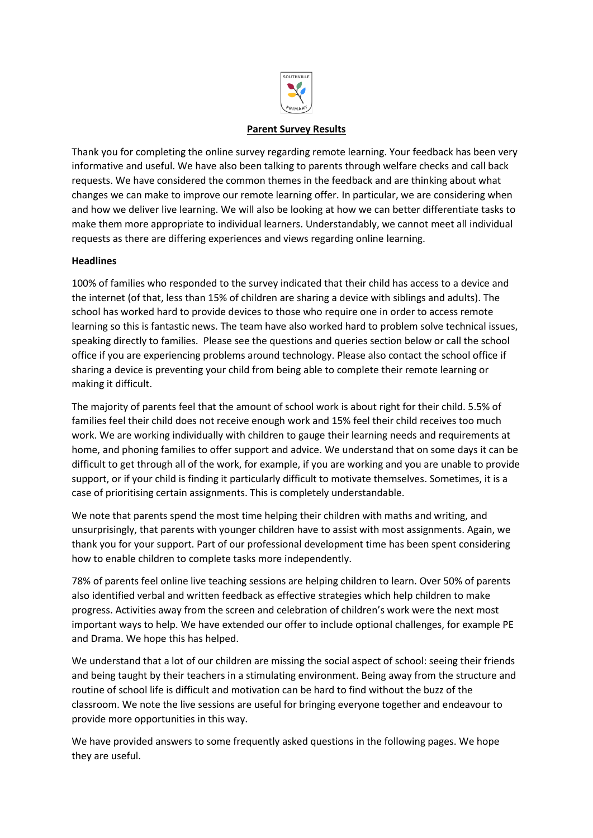

### **Parent Survey Results**

Thank you for completing the online survey regarding remote learning. Your feedback has been very informative and useful. We have also been talking to parents through welfare checks and call back requests. We have considered the common themes in the feedback and are thinking about what changes we can make to improve our remote learning offer. In particular, we are considering when and how we deliver live learning. We will also be looking at how we can better differentiate tasks to make them more appropriate to individual learners. Understandably, we cannot meet all individual requests as there are differing experiences and views regarding online learning.

#### **Headlines**

100% of families who responded to the survey indicated that their child has access to a device and the internet (of that, less than 15% of children are sharing a device with siblings and adults). The school has worked hard to provide devices to those who require one in order to access remote learning so this is fantastic news. The team have also worked hard to problem solve technical issues, speaking directly to families. Please see the questions and queries section below or call the school office if you are experiencing problems around technology. Please also contact the school office if sharing a device is preventing your child from being able to complete their remote learning or making it difficult.

The majority of parents feel that the amount of school work is about right for their child. 5.5% of families feel their child does not receive enough work and 15% feel their child receives too much work. We are working individually with children to gauge their learning needs and requirements at home, and phoning families to offer support and advice. We understand that on some days it can be difficult to get through all of the work, for example, if you are working and you are unable to provide support, or if your child is finding it particularly difficult to motivate themselves. Sometimes, it is a case of prioritising certain assignments. This is completely understandable.

We note that parents spend the most time helping their children with maths and writing, and unsurprisingly, that parents with younger children have to assist with most assignments. Again, we thank you for your support. Part of our professional development time has been spent considering how to enable children to complete tasks more independently.

78% of parents feel online live teaching sessions are helping children to learn. Over 50% of parents also identified verbal and written feedback as effective strategies which help children to make progress. Activities away from the screen and celebration of children's work were the next most important ways to help. We have extended our offer to include optional challenges, for example PE and Drama. We hope this has helped.

We understand that a lot of our children are missing the social aspect of school: seeing their friends and being taught by their teachers in a stimulating environment. Being away from the structure and routine of school life is difficult and motivation can be hard to find without the buzz of the classroom. We note the live sessions are useful for bringing everyone together and endeavour to provide more opportunities in this way.

We have provided answers to some frequently asked questions in the following pages. We hope they are useful.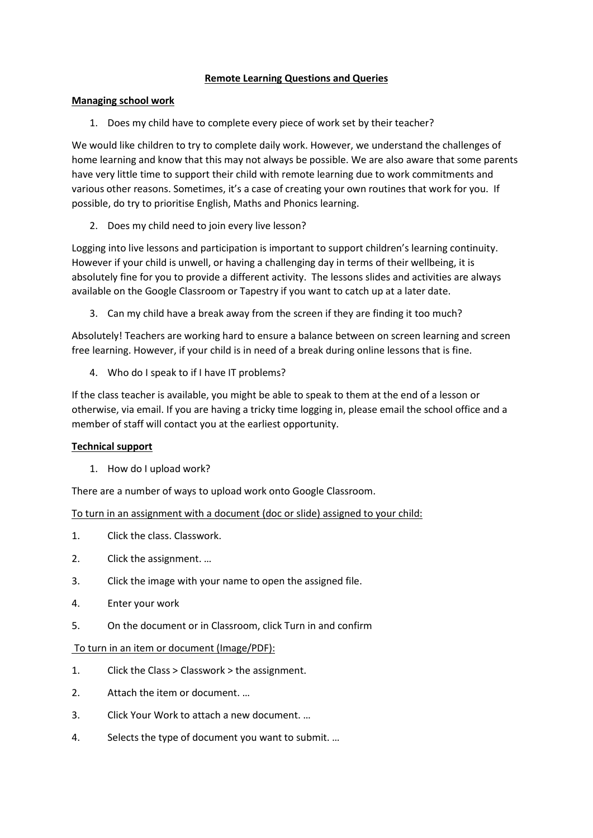### **Remote Learning Questions and Queries**

### **Managing school work**

1. Does my child have to complete every piece of work set by their teacher?

We would like children to try to complete daily work. However, we understand the challenges of home learning and know that this may not always be possible. We are also aware that some parents have very little time to support their child with remote learning due to work commitments and various other reasons. Sometimes, it's a case of creating your own routines that work for you. If possible, do try to prioritise English, Maths and Phonics learning.

2. Does my child need to join every live lesson?

Logging into live lessons and participation is important to support children's learning continuity. However if your child is unwell, or having a challenging day in terms of their wellbeing, it is absolutely fine for you to provide a different activity. The lessons slides and activities are always available on the Google Classroom or Tapestry if you want to catch up at a later date.

3. Can my child have a break away from the screen if they are finding it too much?

Absolutely! Teachers are working hard to ensure a balance between on screen learning and screen free learning. However, if your child is in need of a break during online lessons that is fine.

4. Who do I speak to if I have IT problems?

If the class teacher is available, you might be able to speak to them at the end of a lesson or otherwise, via email. If you are having a tricky time logging in, please email the school office and a member of staff will contact you at the earliest opportunity.

# **Technical support**

1. How do I upload work?

There are a number of ways to upload work onto Google Classroom.

To turn in an assignment with a document (doc or slide) assigned to your child:

- 1. Click the class. Classwork.
- 2. Click the assignment. …
- 3. Click the image with your name to open the assigned file.
- 4. Enter your work
- 5. On the document or in Classroom, click Turn in and confirm

#### To turn in an item or document (Image/PDF):

- 1. Click the Class > Classwork > the assignment.
- 2. Attach the item or document. …
- 3. Click Your Work to attach a new document. …
- 4. Selects the type of document you want to submit. …